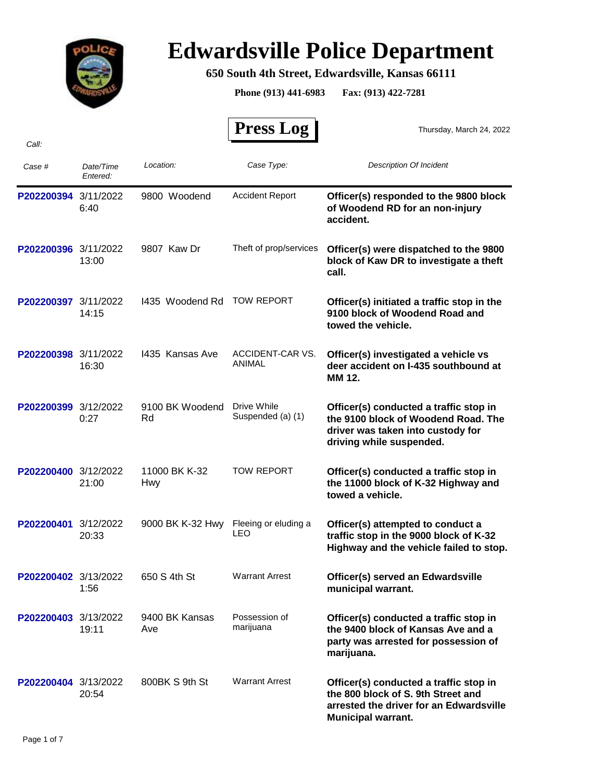

# **Edwardsville Police Department**

### **650 South 4th Street, Edwardsville, Kansas 66111**

**Phone (913) 441-6983 Fax: (913) 422-7281**

|                      |                       |                       | <b>Press Log</b>                   | Thursday, March 24, 2022                                                                                                                             |
|----------------------|-----------------------|-----------------------|------------------------------------|------------------------------------------------------------------------------------------------------------------------------------------------------|
| Call:                |                       |                       |                                    |                                                                                                                                                      |
| Case #               | Date/Time<br>Entered: | Location:             | Case Type:                         | <b>Description Of Incident</b>                                                                                                                       |
| P202200394           | 3/11/2022<br>6:40     | 9800 Woodend          | <b>Accident Report</b>             | Officer(s) responded to the 9800 block<br>of Woodend RD for an non-injury<br>accident.                                                               |
| P202200396 3/11/2022 | 13:00                 | 9807 Kaw Dr           | Theft of prop/services             | Officer(s) were dispatched to the 9800<br>block of Kaw DR to investigate a theft<br>call.                                                            |
| P202200397 3/11/2022 | 14:15                 | 1435 Woodend Rd       | <b>TOW REPORT</b>                  | Officer(s) initiated a traffic stop in the<br>9100 block of Woodend Road and<br>towed the vehicle.                                                   |
| P202200398 3/11/2022 | 16:30                 | 1435 Kansas Ave       | ACCIDENT-CAR VS.<br>ANIMAL         | Officer(s) investigated a vehicle vs<br>deer accident on I-435 southbound at<br>MM 12.                                                               |
| P202200399 3/12/2022 | 0:27                  | 9100 BK Woodend<br>Rd | Drive While<br>Suspended (a) (1)   | Officer(s) conducted a traffic stop in<br>the 9100 block of Woodend Road. The<br>driver was taken into custody for<br>driving while suspended.       |
| P202200400 3/12/2022 | 21:00                 | 11000 BK K-32<br>Hwy  | <b>TOW REPORT</b>                  | Officer(s) conducted a traffic stop in<br>the 11000 block of K-32 Highway and<br>towed a vehicle.                                                    |
| P202200401 3/12/2022 | 20:33                 | 9000 BK K-32 Hwy      | Fleeing or eluding a<br><b>LEO</b> | Officer(s) attempted to conduct a<br>traffic stop in the 9000 block of K-32<br>Highway and the vehicle failed to stop.                               |
| P202200402 3/13/2022 | 1:56                  | 650 S 4th St          | <b>Warrant Arrest</b>              | Officer(s) served an Edwardsville<br>municipal warrant.                                                                                              |
| P202200403 3/13/2022 | 19:11                 | 9400 BK Kansas<br>Ave | Possession of<br>marijuana         | Officer(s) conducted a traffic stop in<br>the 9400 block of Kansas Ave and a<br>party was arrested for possession of<br>marijuana.                   |
| P202200404 3/13/2022 | 20:54                 | 800BK S 9th St        | <b>Warrant Arrest</b>              | Officer(s) conducted a traffic stop in<br>the 800 block of S. 9th Street and<br>arrested the driver for an Edwardsville<br><b>Municipal warrant.</b> |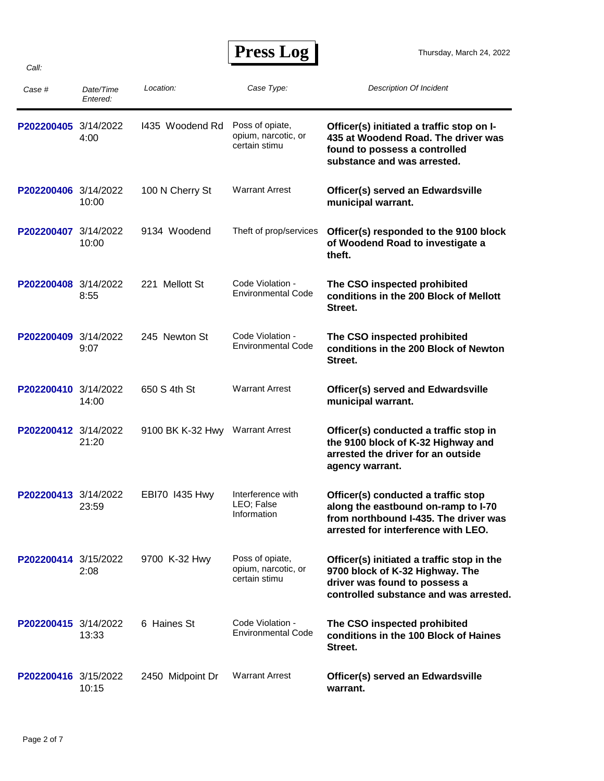| Case #               | Date/Time<br>Entered: | Location:        | Case Type:                                              | <b>Description Of Incident</b>                                                                                                                             |
|----------------------|-----------------------|------------------|---------------------------------------------------------|------------------------------------------------------------------------------------------------------------------------------------------------------------|
| P202200405 3/14/2022 | 4:00                  | 1435 Woodend Rd  | Poss of opiate,<br>opium, narcotic, or<br>certain stimu | Officer(s) initiated a traffic stop on I-<br>435 at Woodend Road. The driver was<br>found to possess a controlled<br>substance and was arrested.           |
| P202200406 3/14/2022 | 10:00                 | 100 N Cherry St  | <b>Warrant Arrest</b>                                   | Officer(s) served an Edwardsville<br>municipal warrant.                                                                                                    |
| P202200407 3/14/2022 | 10:00                 | 9134 Woodend     | Theft of prop/services                                  | Officer(s) responded to the 9100 block<br>of Woodend Road to investigate a<br>theft.                                                                       |
| P202200408 3/14/2022 | 8:55                  | 221 Mellott St   | Code Violation -<br><b>Environmental Code</b>           | The CSO inspected prohibited<br>conditions in the 200 Block of Mellott<br>Street.                                                                          |
| P202200409 3/14/2022 | 9:07                  | 245 Newton St    | Code Violation -<br><b>Environmental Code</b>           | The CSO inspected prohibited<br>conditions in the 200 Block of Newton<br>Street.                                                                           |
| P202200410 3/14/2022 | 14:00                 | 650 S 4th St     | <b>Warrant Arrest</b>                                   | <b>Officer(s) served and Edwardsville</b><br>municipal warrant.                                                                                            |
| P202200412 3/14/2022 | 21:20                 | 9100 BK K-32 Hwy | <b>Warrant Arrest</b>                                   | Officer(s) conducted a traffic stop in<br>the 9100 block of K-32 Highway and<br>arrested the driver for an outside<br>agency warrant.                      |
| P202200413 3/14/2022 | 23:59                 | EBI70 1435 Hwy   | Interference with<br>LEO; False<br>Information          | Officer(s) conducted a traffic stop<br>along the eastbound on-ramp to I-70<br>from northbound I-435. The driver was<br>arrested for interference with LEO. |
| P202200414 3/15/2022 | 2:08                  | 9700 K-32 Hwy    | Poss of opiate,<br>opium, narcotic, or<br>certain stimu | Officer(s) initiated a traffic stop in the<br>9700 block of K-32 Highway. The<br>driver was found to possess a<br>controlled substance and was arrested.   |
| P202200415 3/14/2022 | 13:33                 | 6 Haines St      | Code Violation -<br><b>Environmental Code</b>           | The CSO inspected prohibited<br>conditions in the 100 Block of Haines<br>Street.                                                                           |
| P202200416 3/15/2022 | 10:15                 | 2450 Midpoint Dr | <b>Warrant Arrest</b>                                   | Officer(s) served an Edwardsville<br>warrant.                                                                                                              |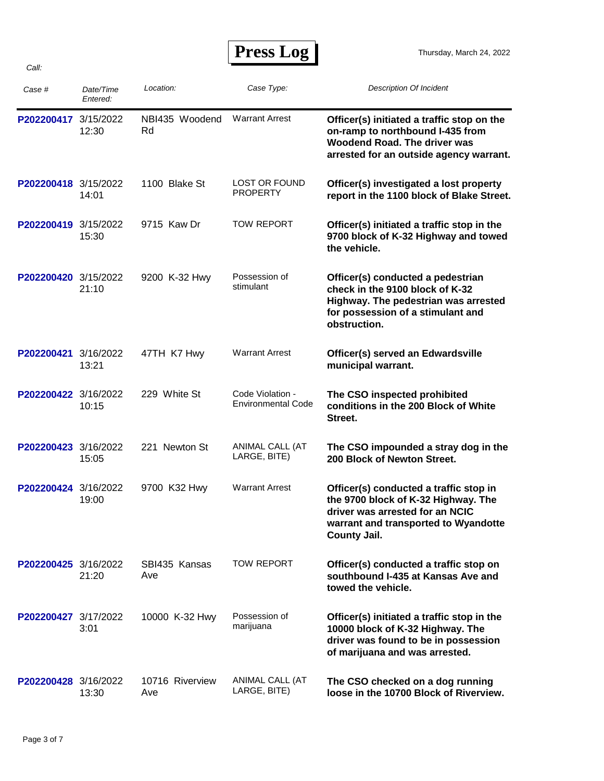| Case #               | Date/Time<br>Entered: | Location:              | Case Type:                                    | <b>Description Of Incident</b>                                                                                                                                                  |
|----------------------|-----------------------|------------------------|-----------------------------------------------|---------------------------------------------------------------------------------------------------------------------------------------------------------------------------------|
| P202200417           | 3/15/2022<br>12:30    | NBI435 Woodend<br>Rd   | <b>Warrant Arrest</b>                         | Officer(s) initiated a traffic stop on the<br>on-ramp to northbound I-435 from<br>Woodend Road. The driver was<br>arrested for an outside agency warrant.                       |
| P202200418 3/15/2022 | 14:01                 | 1100 Blake St          | <b>LOST OR FOUND</b><br><b>PROPERTY</b>       | Officer(s) investigated a lost property<br>report in the 1100 block of Blake Street.                                                                                            |
| P202200419 3/15/2022 | 15:30                 | 9715 Kaw Dr            | <b>TOW REPORT</b>                             | Officer(s) initiated a traffic stop in the<br>9700 block of K-32 Highway and towed<br>the vehicle.                                                                              |
| P202200420 3/15/2022 | 21:10                 | 9200 K-32 Hwy          | Possession of<br>stimulant                    | Officer(s) conducted a pedestrian<br>check in the 9100 block of K-32<br>Highway. The pedestrian was arrested<br>for possession of a stimulant and<br>obstruction.               |
| P202200421           | 3/16/2022<br>13:21    | 47TH K7 Hwy            | <b>Warrant Arrest</b>                         | Officer(s) served an Edwardsville<br>municipal warrant.                                                                                                                         |
| P202200422 3/16/2022 | 10:15                 | 229 White St           | Code Violation -<br><b>Environmental Code</b> | The CSO inspected prohibited<br>conditions in the 200 Block of White<br>Street.                                                                                                 |
| P202200423           | 3/16/2022<br>15:05    | 221 Newton St          | ANIMAL CALL (AT<br>LARGE, BITE)               | The CSO impounded a stray dog in the<br>200 Block of Newton Street.                                                                                                             |
| P202200424 3/16/2022 | 19:00                 | 9700 K32 Hwy           | <b>Warrant Arrest</b>                         | Officer(s) conducted a traffic stop in<br>the 9700 block of K-32 Highway. The<br>driver was arrested for an NCIC<br>warrant and transported to Wyandotte<br><b>County Jail.</b> |
| P202200425 3/16/2022 | 21:20                 | SBI435 Kansas<br>Ave   | <b>TOW REPORT</b>                             | Officer(s) conducted a traffic stop on<br>southbound I-435 at Kansas Ave and<br>towed the vehicle.                                                                              |
| P202200427 3/17/2022 | 3:01                  | 10000 K-32 Hwy         | Possession of<br>marijuana                    | Officer(s) initiated a traffic stop in the<br>10000 block of K-32 Highway. The<br>driver was found to be in possession<br>of marijuana and was arrested.                        |
| P202200428 3/16/2022 | 13:30                 | 10716 Riverview<br>Ave | ANIMAL CALL (AT<br>LARGE, BITE)               | The CSO checked on a dog running<br>loose in the 10700 Block of Riverview.                                                                                                      |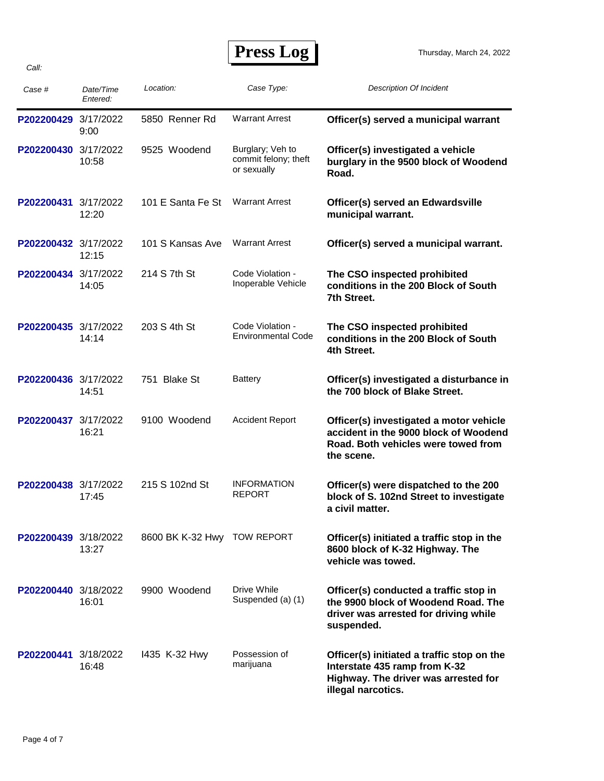Thursday, March 24, 2022

| Case #               | Date/Time<br>Entered: | Location:                   | Case Type:                                              | <b>Description Of Incident</b>                                                                                                            |
|----------------------|-----------------------|-----------------------------|---------------------------------------------------------|-------------------------------------------------------------------------------------------------------------------------------------------|
| P202200429           | 3/17/2022<br>9:00     | 5850 Renner Rd              | <b>Warrant Arrest</b>                                   | Officer(s) served a municipal warrant                                                                                                     |
| P202200430 3/17/2022 | 10:58                 | 9525 Woodend                | Burglary; Veh to<br>commit felony; theft<br>or sexually | Officer(s) investigated a vehicle<br>burglary in the 9500 block of Woodend<br>Road.                                                       |
| P202200431           | 3/17/2022<br>12:20    | 101 E Santa Fe St           | <b>Warrant Arrest</b>                                   | Officer(s) served an Edwardsville<br>municipal warrant.                                                                                   |
| P202200432 3/17/2022 | 12:15                 | 101 S Kansas Ave            | <b>Warrant Arrest</b>                                   | Officer(s) served a municipal warrant.                                                                                                    |
| P202200434           | 3/17/2022<br>14:05    | 214 S 7th St                | Code Violation -<br>Inoperable Vehicle                  | The CSO inspected prohibited<br>conditions in the 200 Block of South<br>7th Street.                                                       |
| P202200435 3/17/2022 | 14:14                 | 203 S 4th St                | Code Violation -<br><b>Environmental Code</b>           | The CSO inspected prohibited<br>conditions in the 200 Block of South<br>4th Street.                                                       |
| P202200436 3/17/2022 | 14:51                 | 751 Blake St                | <b>Battery</b>                                          | Officer(s) investigated a disturbance in<br>the 700 block of Blake Street.                                                                |
| P202200437           | 3/17/2022<br>16:21    | 9100 Woodend                | <b>Accident Report</b>                                  | Officer(s) investigated a motor vehicle<br>accident in the 9000 block of Woodend<br>Road. Both vehicles were towed from<br>the scene.     |
| P202200438 3/17/2022 | 17:45                 | 215 S 102nd St              | <b>INFORMATION</b><br><b>REPORT</b>                     | Officer(s) were dispatched to the 200<br>block of S. 102nd Street to investigate<br>a civil matter.                                       |
| P202200439 3/18/2022 | 13:27                 | 8600 BK K-32 Hwy TOW REPORT |                                                         | Officer(s) initiated a traffic stop in the<br>8600 block of K-32 Highway. The<br>vehicle was towed.                                       |
| P202200440 3/18/2022 | 16:01                 | 9900 Woodend                | Drive While<br>Suspended (a) (1)                        | Officer(s) conducted a traffic stop in<br>the 9900 block of Woodend Road. The<br>driver was arrested for driving while<br>suspended.      |
| P202200441 3/18/2022 | 16:48                 | 1435 K-32 Hwy               | Possession of<br>marijuana                              | Officer(s) initiated a traffic stop on the<br>Interstate 435 ramp from K-32<br>Highway. The driver was arrested for<br>illegal narcotics. |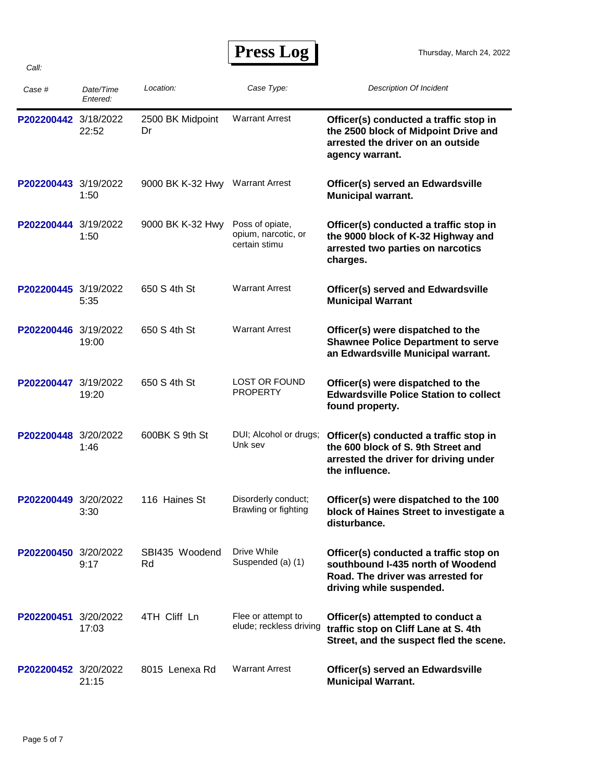| Case #               | Date/Time<br>Entered: | Location:                       | Case Type:                                              | <b>Description Of Incident</b>                                                                                                               |
|----------------------|-----------------------|---------------------------------|---------------------------------------------------------|----------------------------------------------------------------------------------------------------------------------------------------------|
| P202200442 3/18/2022 | 22:52                 | 2500 BK Midpoint<br>Dr          | <b>Warrant Arrest</b>                                   | Officer(s) conducted a traffic stop in<br>the 2500 block of Midpoint Drive and<br>arrested the driver on an outside<br>agency warrant.       |
| P202200443 3/19/2022 | 1:50                  | 9000 BK K-32 Hwy Warrant Arrest |                                                         | Officer(s) served an Edwardsville<br><b>Municipal warrant.</b>                                                                               |
| P202200444 3/19/2022 | 1:50                  | 9000 BK K-32 Hwy                | Poss of opiate,<br>opium, narcotic, or<br>certain stimu | Officer(s) conducted a traffic stop in<br>the 9000 block of K-32 Highway and<br>arrested two parties on narcotics<br>charges.                |
| P202200445 3/19/2022 | 5:35                  | 650 S 4th St                    | <b>Warrant Arrest</b>                                   | <b>Officer(s) served and Edwardsville</b><br><b>Municipal Warrant</b>                                                                        |
| P202200446 3/19/2022 | 19:00                 | 650 S 4th St                    | <b>Warrant Arrest</b>                                   | Officer(s) were dispatched to the<br><b>Shawnee Police Department to serve</b><br>an Edwardsville Municipal warrant.                         |
| P202200447           | 3/19/2022<br>19:20    | 650 S 4th St                    | <b>LOST OR FOUND</b><br><b>PROPERTY</b>                 | Officer(s) were dispatched to the<br><b>Edwardsville Police Station to collect</b><br>found property.                                        |
| P202200448           | 3/20/2022<br>1:46     | 600BK S 9th St                  | DUI; Alcohol or drugs;<br>Unk sev                       | Officer(s) conducted a traffic stop in<br>the 600 block of S. 9th Street and<br>arrested the driver for driving under<br>the influence.      |
| P202200449 3/20/2022 | 3:30                  | 116 Haines St                   | Disorderly conduct;<br>Brawling or fighting             | Officer(s) were dispatched to the 100<br>block of Haines Street to investigate a<br>disturbance.                                             |
| P202200450 3/20/2022 | 9:17                  | SBI435 Woodend<br>Rd            | Drive While<br>Suspended (a) (1)                        | Officer(s) conducted a traffic stop on<br>southbound I-435 north of Woodend<br>Road. The driver was arrested for<br>driving while suspended. |
| P202200451 3/20/2022 | 17:03                 | 4TH Cliff Ln                    | Flee or attempt to<br>elude; reckless driving           | Officer(s) attempted to conduct a<br>traffic stop on Cliff Lane at S. 4th<br>Street, and the suspect fled the scene.                         |
| P202200452 3/20/2022 | 21:15                 | 8015 Lenexa Rd                  | <b>Warrant Arrest</b>                                   | Officer(s) served an Edwardsville<br><b>Municipal Warrant.</b>                                                                               |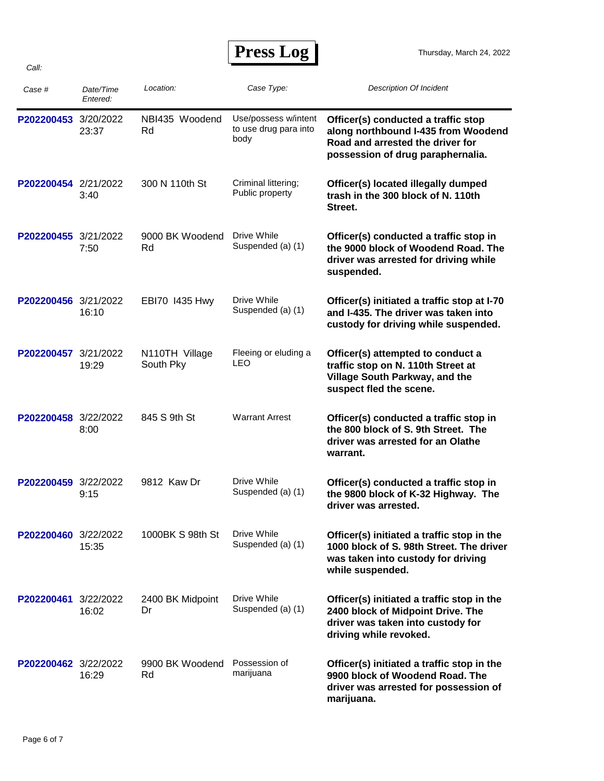| Case #               | Date/Time<br>Entered: | Location:                   | Case Type:                                            | <b>Description Of Incident</b>                                                                                                                      |
|----------------------|-----------------------|-----------------------------|-------------------------------------------------------|-----------------------------------------------------------------------------------------------------------------------------------------------------|
| P202200453 3/20/2022 | 23:37                 | NBI435 Woodend<br>Rd        | Use/possess w/intent<br>to use drug para into<br>body | Officer(s) conducted a traffic stop<br>along northbound I-435 from Woodend<br>Road and arrested the driver for<br>possession of drug paraphernalia. |
| P202200454 2/21/2022 | 3:40                  | 300 N 110th St              | Criminal littering;<br>Public property                | Officer(s) located illegally dumped<br>trash in the 300 block of N. 110th<br>Street.                                                                |
| P202200455 3/21/2022 | 7:50                  | 9000 BK Woodend<br>Rd       | Drive While<br>Suspended (a) (1)                      | Officer(s) conducted a traffic stop in<br>the 9000 block of Woodend Road. The<br>driver was arrested for driving while<br>suspended.                |
| P202200456 3/21/2022 | 16:10                 | EBI70 1435 Hwy              | Drive While<br>Suspended (a) (1)                      | Officer(s) initiated a traffic stop at I-70<br>and I-435. The driver was taken into<br>custody for driving while suspended.                         |
| P202200457           | 3/21/2022<br>19:29    | N110TH Village<br>South Pky | Fleeing or eluding a<br>LEO                           | Officer(s) attempted to conduct a<br>traffic stop on N. 110th Street at<br>Village South Parkway, and the<br>suspect fled the scene.                |
| P202200458 3/22/2022 | 8:00                  | 845 S 9th St                | <b>Warrant Arrest</b>                                 | Officer(s) conducted a traffic stop in<br>the 800 block of S. 9th Street. The<br>driver was arrested for an Olathe<br>warrant.                      |
| P202200459 3/22/2022 | 9:15                  | 9812 Kaw Dr                 | Drive While<br>Suspended (a) (1)                      | Officer(s) conducted a traffic stop in<br>the 9800 block of K-32 Highway. The<br>driver was arrested.                                               |
| P202200460 3/22/2022 | 15:35                 | 1000BK S 98th St            | Drive While<br>Suspended (a) (1)                      | Officer(s) initiated a traffic stop in the<br>1000 block of S. 98th Street. The driver<br>was taken into custody for driving<br>while suspended.    |
| P202200461 3/22/2022 | 16:02                 | 2400 BK Midpoint<br>Dr      | Drive While<br>Suspended (a) (1)                      | Officer(s) initiated a traffic stop in the<br>2400 block of Midpoint Drive. The<br>driver was taken into custody for<br>driving while revoked.      |
| P202200462 3/22/2022 | 16:29                 | 9900 BK Woodend<br>Rd       | Possession of<br>marijuana                            | Officer(s) initiated a traffic stop in the<br>9900 block of Woodend Road. The<br>driver was arrested for possession of<br>marijuana.                |